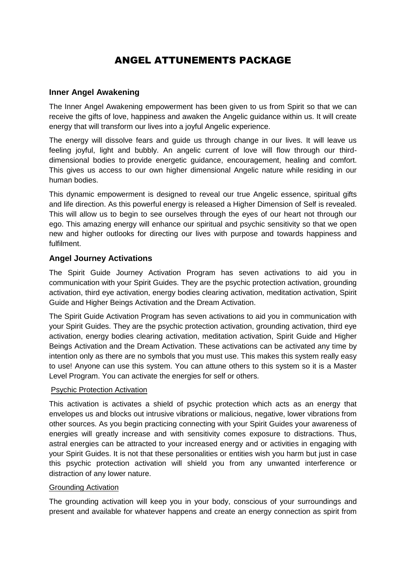# ANGEL ATTUNEMENTS PACKAGE

#### **Inner Angel Awakening**

The Inner Angel Awakening empowerment has been given to us from Spirit so that we can receive the gifts of love, happiness and awaken the Angelic guidance within us. It will create energy that will transform our lives into a joyful Angelic experience.

The energy will dissolve fears and guide us through change in our lives. It will leave us feeling joyful, light and bubbly. An angelic current of love will flow through our thirddimensional bodies to provide energetic guidance, encouragement, healing and comfort. This gives us access to our own higher dimensional Angelic nature while residing in our human bodies.

This dynamic empowerment is designed to reveal our true Angelic essence, spiritual gifts and life direction. As this powerful energy is released a Higher Dimension of Self is revealed. This will allow us to begin to see ourselves through the eyes of our heart not through our ego. This amazing energy will enhance our spiritual and psychic sensitivity so that we open new and higher outlooks for directing our lives with purpose and towards happiness and fulfilment.

## **Angel Journey Activations**

The Spirit Guide Journey Activation Program has seven activations to aid you in communication with your Spirit Guides. They are the psychic protection activation, grounding activation, third eye activation, energy bodies clearing activation, meditation activation, Spirit Guide and Higher Beings Activation and the Dream Activation.

The Spirit Guide Activation Program has seven activations to aid you in communication with your Spirit Guides. They are the psychic protection activation, grounding activation, third eye activation, energy bodies clearing activation, meditation activation, Spirit Guide and Higher Beings Activation and the Dream Activation. These activations can be activated any time by intention only as there are no symbols that you must use. This makes this system really easy to use! Anyone can use this system. You can attune others to this system so it is a Master Level Program. You can activate the energies for self or others.

#### Psychic Protection Activation

This activation is activates a shield of psychic protection which acts as an energy that envelopes us and blocks out intrusive vibrations or malicious, negative, lower vibrations from other sources. As you begin practicing connecting with your Spirit Guides your awareness of energies will greatly increase and with sensitivity comes exposure to distractions. Thus, astral energies can be attracted to your increased energy and or activities in engaging with your Spirit Guides. It is not that these personalities or entities wish you harm but just in case this psychic protection activation will shield you from any unwanted interference or distraction of any lower nature.

#### Grounding Activation

The grounding activation will keep you in your body, conscious of your surroundings and present and available for whatever happens and create an energy connection as spirit from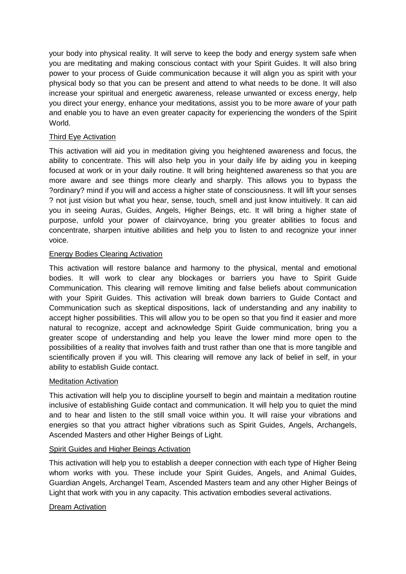your body into physical reality. It will serve to keep the body and energy system safe when you are meditating and making conscious contact with your Spirit Guides. It will also bring power to your process of Guide communication because it will align you as spirit with your physical body so that you can be present and attend to what needs to be done. It will also increase your spiritual and energetic awareness, release unwanted or excess energy, help you direct your energy, enhance your meditations, assist you to be more aware of your path and enable you to have an even greater capacity for experiencing the wonders of the Spirit World.

#### Third Eye Activation

This activation will aid you in meditation giving you heightened awareness and focus, the ability to concentrate. This will also help you in your daily life by aiding you in keeping focused at work or in your daily routine. It will bring heightened awareness so that you are more aware and see things more clearly and sharply. This allows you to bypass the ?ordinary? mind if you will and access a higher state of consciousness. It will lift your senses ? not just vision but what you hear, sense, touch, smell and just know intuitively. It can aid you in seeing Auras, Guides, Angels, Higher Beings, etc. It will bring a higher state of purpose, unfold your power of clairvoyance, bring you greater abilities to focus and concentrate, sharpen intuitive abilities and help you to listen to and recognize your inner voice.

#### Energy Bodies Clearing Activation

This activation will restore balance and harmony to the physical, mental and emotional bodies. It will work to clear any blockages or barriers you have to Spirit Guide Communication. This clearing will remove limiting and false beliefs about communication with your Spirit Guides. This activation will break down barriers to Guide Contact and Communication such as skeptical dispositions, lack of understanding and any inability to accept higher possibilities. This will allow you to be open so that you find it easier and more natural to recognize, accept and acknowledge Spirit Guide communication, bring you a greater scope of understanding and help you leave the lower mind more open to the possibilities of a reality that involves faith and trust rather than one that is more tangible and scientifically proven if you will. This clearing will remove any lack of belief in self, in your ability to establish Guide contact.

#### Meditation Activation

This activation will help you to discipline yourself to begin and maintain a meditation routine inclusive of establishing Guide contact and communication. It will help you to quiet the mind and to hear and listen to the still small voice within you. It will raise your vibrations and energies so that you attract higher vibrations such as Spirit Guides, Angels, Archangels, Ascended Masters and other Higher Beings of Light.

#### Spirit Guides and Higher Beings Activation

This activation will help you to establish a deeper connection with each type of Higher Being whom works with you. These include your Spirit Guides, Angels, and Animal Guides, Guardian Angels, Archangel Team, Ascended Masters team and any other Higher Beings of Light that work with you in any capacity. This activation embodies several activations.

## Dream Activation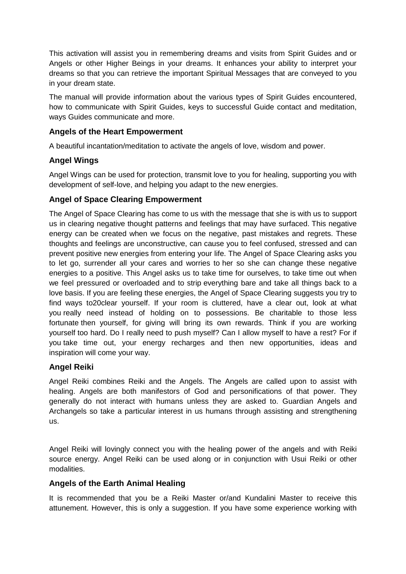This activation will assist you in remembering dreams and visits from Spirit Guides and or Angels or other Higher Beings in your dreams. It enhances your ability to interpret your dreams so that you can retrieve the important Spiritual Messages that are conveyed to you in your dream state.

The manual will provide information about the various types of Spirit Guides encountered, how to communicate with Spirit Guides, keys to successful Guide contact and meditation, ways Guides communicate and more.

## **Angels of the Heart Empowerment**

A beautiful incantation/meditation to activate the angels of love, wisdom and power.

# **Angel Wings**

Angel Wings can be used for protection, transmit love to you for healing, supporting you with development of self-love, and helping you adapt to the new energies.

# **Angel of Space Clearing Empowerment**

The Angel of Space Clearing has come to us with the message that she is with us to support us in clearing negative thought patterns and feelings that may have surfaced. This negative energy can be created when we focus on the negative, past mistakes and regrets. These thoughts and feelings are unconstructive, can cause you to feel confused, stressed and can prevent positive new energies from entering your life. The Angel of Space Clearing asks you to let go, surrender all your cares and worries to her so she can change these negative energies to a positive. This Angel asks us to take time for ourselves, to take time out when we feel pressured or overloaded and to strip everything bare and take all things back to a love basis. If you are feeling these energies, the Angel of Space Clearing suggests you try to find ways to20clear yourself. If your room is cluttered, have a clear out, look at what you really need instead of holding on to possessions. Be charitable to those less fortunate then yourself, for giving will bring its own rewards. Think if you are working yourself too hard. Do I really need to push myself? Can I allow myself to have a rest? For if you take time out, your energy recharges and then new opportunities, ideas and inspiration will come your way.

## **Angel Reiki**

Angel Reiki combines Reiki and the Angels. The Angels are called upon to assist with healing. Angels are both manifestors of God and personifications of that power. They generally do not interact with humans unless they are asked to. Guardian Angels and Archangels so take a particular interest in us humans through assisting and strengthening us.

Angel Reiki will lovingly connect you with the healing power of the angels and with Reiki source energy. Angel Reiki can be used along or in conjunction with Usui Reiki or other modalities.

## **Angels of the Earth Animal Healing**

It is recommended that you be a Reiki Master or/and Kundalini Master to receive this attunement. However, this is only a suggestion. If you have some experience working with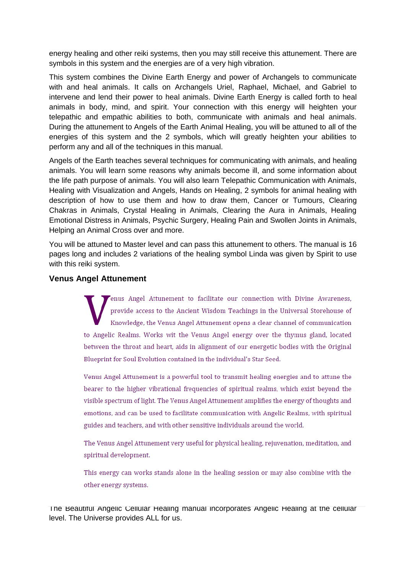energy healing and other reiki systems, then you may still receive this attunement. There are symbols in this system and the energies are of a very high vibration.

This system combines the Divine Earth Energy and power of Archangels to communicate with and heal animals. It calls on Archangels Uriel, Raphael, Michael, and Gabriel to intervene and lend their power to heal animals. Divine Earth Energy is called forth to heal animals in body, mind, and spirit. Your connection with this energy will heighten your telepathic and empathic abilities to both, communicate with animals and heal animals. During the attunement to Angels of the Earth Animal Healing, you will be attuned to all of the energies of this system and the 2 symbols, which will greatly heighten your abilities to perform any and all of the techniques in this manual.

Angels of the Earth teaches several techniques for communicating with animals, and healing animals. You will learn some reasons why animals become ill, and some information about the life path purpose of animals. You will also learn Telepathic Communication with Animals, Healing with Visualization and Angels, Hands on Healing, 2 symbols for animal healing with description of how to use them and how to draw them, Cancer or Tumours, Clearing Chakras in Animals, Crystal Healing in Animals, Clearing the Aura in Animals, Healing Emotional Distress in Animals, Psychic Surgery, Healing Pain and Swollen Joints in Animals, Helping an Animal Cross over and more.

You will be attuned to Master level and can pass this attunement to others. The manual is 16 pages long and includes 2 variations of the healing symbol Linda was given by Spirit to use with this reiki system.

#### **Venus Angel Attunement**

enus Angel Attunement to facilitate our connection with Divine Awareness, provide access to the Ancient Wisdom Teachings in the Universal Storehouse of Knowledge, the Venus Angel Attunement opens a clear channel of communication to Angelic Realms. Works wit the Venus Angel energy over the thymus gland, located between the throat and heart, aids in alignment of our energetic bodies with the Original Blueprint for Soul Evolution contained in the individual's Star Seed.

Venus Angel Attunement is a powerful tool to transmit healing energies and to attune the bearer to the higher vibrational frequencies of spiritual realms, which exist beyond the visible spectrum of light. The Venus Angel Attunement amplifies the energy of thoughts and emotions, and can be used to facilitate communication with Angelic Realms, with spiritual guides and teachers, and with other sensitive individuals around the world.

The Venus Angel Attunement very useful for physical healing, rejuvenation, meditation, and spiritual development.

This energy can works stands alone in the healing session or may also combine with the other energy systems.

The Beautiful Angelic Cellular Healing manual incorporates Angelic Healing at the cellular level. The Universe provides ALL for us.